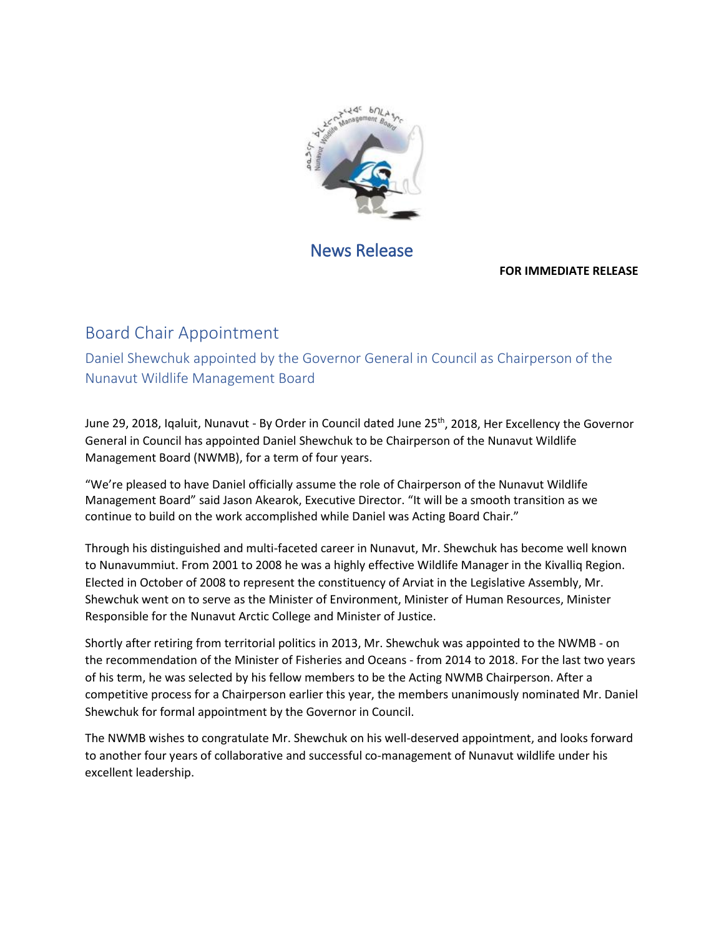

## News Release

## **FOR IMMEDIATE RELEASE**

## Board Chair Appointment

Daniel Shewchuk appointed by the Governor General in Council as Chairperson of the Nunavut Wildlife Management Board

June 29, 2018, Igaluit, Nunavut - By Order in Council dated June 25<sup>th</sup>, 2018, Her Excellency the Governor General in Council has appointed Daniel Shewchuk to be Chairperson of the Nunavut Wildlife Management Board (NWMB), for a term of four years.

"We're pleased to have Daniel officially assume the role of Chairperson of the Nunavut Wildlife Management Board" said Jason Akearok, Executive Director. "It will be a smooth transition as we continue to build on the work accomplished while Daniel was Acting Board Chair."

Through his distinguished and multi-faceted career in Nunavut, Mr. Shewchuk has become well known to Nunavummiut. From 2001 to 2008 he was a highly effective Wildlife Manager in the Kivalliq Region. Elected in October of 2008 to represent the constituency of Arviat in the Legislative Assembly, Mr. Shewchuk went on to serve as the Minister of Environment, Minister of Human Resources, Minister Responsible for the Nunavut Arctic College and Minister of Justice.

Shortly after retiring from territorial politics in 2013, Mr. Shewchuk was appointed to the NWMB - on the recommendation of the Minister of Fisheries and Oceans - from 2014 to 2018. For the last two years of his term, he was selected by his fellow members to be the Acting NWMB Chairperson. After a competitive process for a Chairperson earlier this year, the members unanimously nominated Mr. Daniel Shewchuk for formal appointment by the Governor in Council.

The NWMB wishes to congratulate Mr. Shewchuk on his well-deserved appointment, and looks forward to another four years of collaborative and successful co-management of Nunavut wildlife under his excellent leadership.